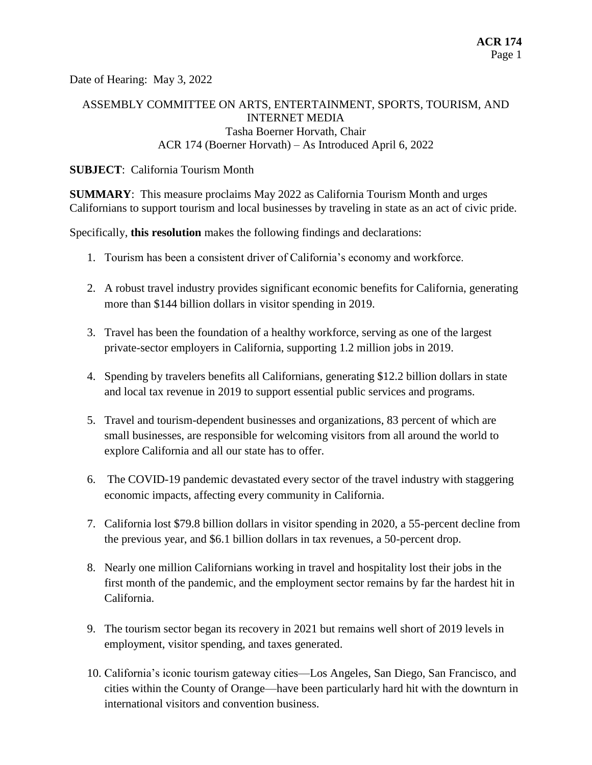Date of Hearing: May 3, 2022

# ASSEMBLY COMMITTEE ON ARTS, ENTERTAINMENT, SPORTS, TOURISM, AND INTERNET MEDIA Tasha Boerner Horvath, Chair ACR 174 (Boerner Horvath) – As Introduced April 6, 2022

#### **SUBJECT**: California Tourism Month

**SUMMARY**: This measure proclaims May 2022 as California Tourism Month and urges Californians to support tourism and local businesses by traveling in state as an act of civic pride.

Specifically, **this resolution** makes the following findings and declarations:

- 1. Tourism has been a consistent driver of California's economy and workforce.
- 2. A robust travel industry provides significant economic benefits for California, generating more than \$144 billion dollars in visitor spending in 2019.
- 3. Travel has been the foundation of a healthy workforce, serving as one of the largest private-sector employers in California, supporting 1.2 million jobs in 2019.
- 4. Spending by travelers benefits all Californians, generating \$12.2 billion dollars in state and local tax revenue in 2019 to support essential public services and programs.
- 5. Travel and tourism-dependent businesses and organizations, 83 percent of which are small businesses, are responsible for welcoming visitors from all around the world to explore California and all our state has to offer.
- 6. The COVID-19 pandemic devastated every sector of the travel industry with staggering economic impacts, affecting every community in California.
- 7. California lost \$79.8 billion dollars in visitor spending in 2020, a 55-percent decline from the previous year, and \$6.1 billion dollars in tax revenues, a 50-percent drop.
- 8. Nearly one million Californians working in travel and hospitality lost their jobs in the first month of the pandemic, and the employment sector remains by far the hardest hit in California.
- 9. The tourism sector began its recovery in 2021 but remains well short of 2019 levels in employment, visitor spending, and taxes generated.
- 10. California's iconic tourism gateway cities—Los Angeles, San Diego, San Francisco, and cities within the County of Orange—have been particularly hard hit with the downturn in international visitors and convention business.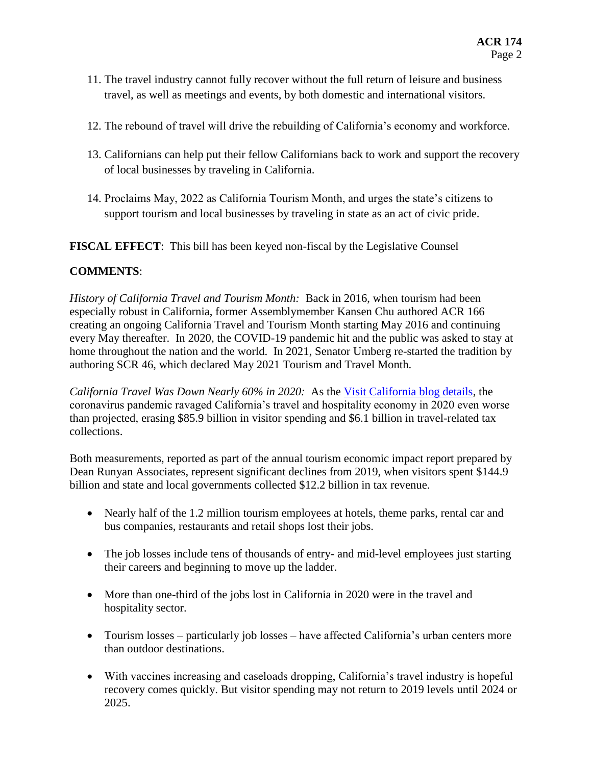- 11. The travel industry cannot fully recover without the full return of leisure and business travel, as well as meetings and events, by both domestic and international visitors.
- 12. The rebound of travel will drive the rebuilding of California's economy and workforce.
- 13. Californians can help put their fellow Californians back to work and support the recovery of local businesses by traveling in California.
- 14. Proclaims May, 2022 as California Tourism Month, and urges the state's citizens to support tourism and local businesses by traveling in state as an act of civic pride.

**FISCAL EFFECT**: This bill has been keyed non-fiscal by the Legislative Counsel

# **COMMENTS**:

*History of California Travel and Tourism Month:* Back in 2016, when tourism had been especially robust in California, former Assemblymember Kansen Chu authored ACR 166 creating an ongoing California Travel and Tourism Month starting May 2016 and continuing every May thereafter. In 2020, the COVID-19 pandemic hit and the public was asked to stay at home throughout the nation and the world. In 2021, Senator Umberg re-started the tradition by authoring SCR 46, which declared May 2021 Tourism and Travel Month.

*California Travel Was Down Nearly 60% in 2020:* As the [Visit California blog details,](https://travelmattersca.com/travel-hub/california-travel-down-60-in-2020) the coronavirus pandemic ravaged California's travel and hospitality economy in 2020 even worse than projected, erasing \$85.9 billion in visitor spending and \$6.1 billion in travel-related tax collections.

Both measurements, reported as part of the annual tourism economic impact report prepared by Dean Runyan Associates, represent significant declines from 2019, when visitors spent \$144.9 billion and state and local governments collected \$12.2 billion in tax revenue.

- Nearly half of the 1.2 million tourism employees at hotels, theme parks, rental car and bus companies, restaurants and retail shops lost their jobs.
- The job losses include tens of thousands of entry- and mid-level employees just starting their careers and beginning to move up the ladder.
- More than one-third of the jobs lost in California in 2020 were in the travel and hospitality sector.
- Tourism losses particularly job losses have affected California's urban centers more than outdoor destinations.
- With vaccines increasing and caseloads dropping, California's travel industry is hopeful recovery comes quickly. But visitor spending may not return to 2019 levels until 2024 or 2025.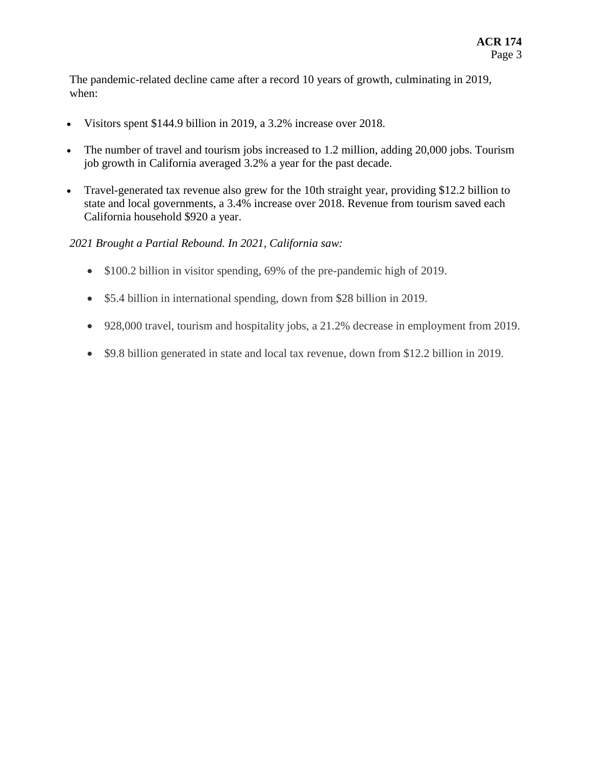The pandemic-related decline came after a record 10 years of growth, culminating in 2019, when:

- Visitors spent \$144.9 billion in 2019, a 3.2% increase over 2018.
- The number of travel and tourism jobs increased to 1.2 million, adding 20,000 jobs. Tourism job growth in California averaged 3.2% a year for the past decade.
- Travel-generated tax revenue also grew for the 10th straight year, providing \$12.2 billion to state and local governments, a 3.4% increase over 2018. Revenue from tourism saved each California household \$920 a year.

## *2021 Brought a Partial Rebound. In 2021, California saw:*

- \$100.2 billion in visitor spending, 69% of the pre-pandemic high of 2019.
- \$5.4 billion in international spending, down from \$28 billion in 2019.
- 928,000 travel, tourism and hospitality jobs, a 21.2% decrease in employment from 2019.
- \$9.8 billion generated in state and local tax revenue, down from \$12.2 billion in 2019.